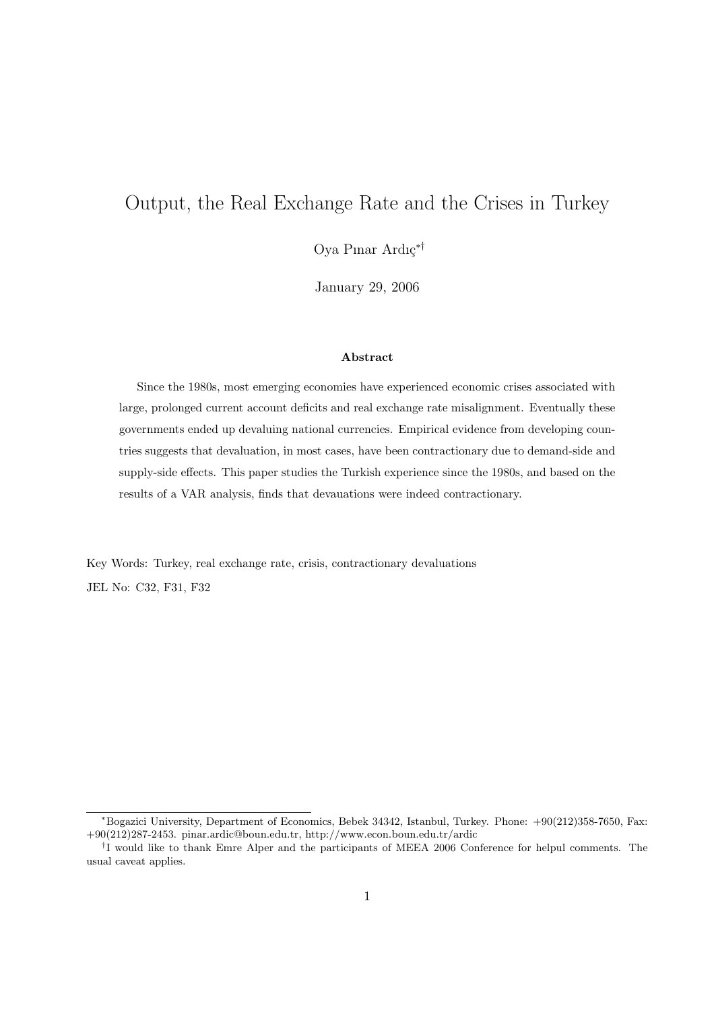# Output, the Real Exchange Rate and the Crises in Turkey

Oya Pınar Ardıç<sup>∗†</sup>

January 29, 2006

#### Abstract

Since the 1980s, most emerging economies have experienced economic crises associated with large, prolonged current account deficits and real exchange rate misalignment. Eventually these governments ended up devaluing national currencies. Empirical evidence from developing countries suggests that devaluation, in most cases, have been contractionary due to demand-side and supply-side effects. This paper studies the Turkish experience since the 1980s, and based on the results of a VAR analysis, finds that devauations were indeed contractionary.

Key Words: Turkey, real exchange rate, crisis, contractionary devaluations JEL No: C32, F31, F32

<sup>∗</sup>Bogazici University, Department of Economics, Bebek 34342, Istanbul, Turkey. Phone: +90(212)358-7650, Fax: +90(212)287-2453. pinar.ardic@boun.edu.tr, http://www.econ.boun.edu.tr/ardic

<sup>&</sup>lt;sup>†</sup>I would like to thank Emre Alper and the participants of MEEA 2006 Conference for helpul comments. The usual caveat applies.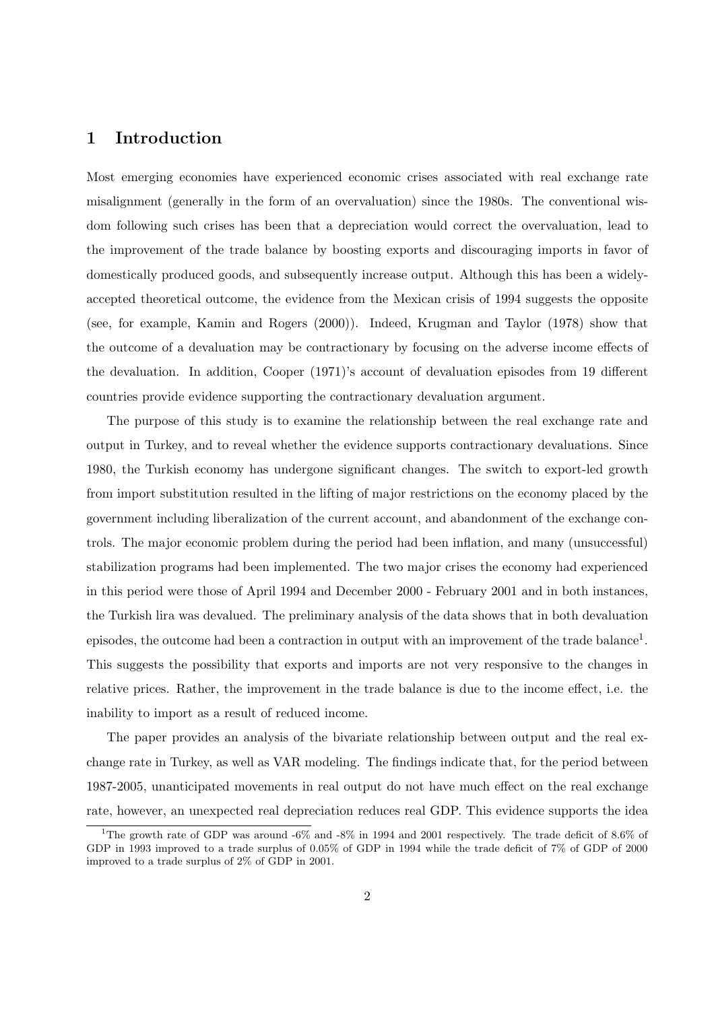# 1 Introduction

Most emerging economies have experienced economic crises associated with real exchange rate misalignment (generally in the form of an overvaluation) since the 1980s. The conventional wisdom following such crises has been that a depreciation would correct the overvaluation, lead to the improvement of the trade balance by boosting exports and discouraging imports in favor of domestically produced goods, and subsequently increase output. Although this has been a widelyaccepted theoretical outcome, the evidence from the Mexican crisis of 1994 suggests the opposite (see, for example, Kamin and Rogers (2000)). Indeed, Krugman and Taylor (1978) show that the outcome of a devaluation may be contractionary by focusing on the adverse income effects of the devaluation. In addition, Cooper (1971)'s account of devaluation episodes from 19 different countries provide evidence supporting the contractionary devaluation argument.

The purpose of this study is to examine the relationship between the real exchange rate and output in Turkey, and to reveal whether the evidence supports contractionary devaluations. Since 1980, the Turkish economy has undergone significant changes. The switch to export-led growth from import substitution resulted in the lifting of major restrictions on the economy placed by the government including liberalization of the current account, and abandonment of the exchange controls. The major economic problem during the period had been inflation, and many (unsuccessful) stabilization programs had been implemented. The two major crises the economy had experienced in this period were those of April 1994 and December 2000 - February 2001 and in both instances, the Turkish lira was devalued. The preliminary analysis of the data shows that in both devaluation episodes, the outcome had been a contraction in output with an improvement of the trade balance<sup>1</sup>. This suggests the possibility that exports and imports are not very responsive to the changes in relative prices. Rather, the improvement in the trade balance is due to the income effect, i.e. the inability to import as a result of reduced income.

The paper provides an analysis of the bivariate relationship between output and the real exchange rate in Turkey, as well as VAR modeling. The findings indicate that, for the period between 1987-2005, unanticipated movements in real output do not have much effect on the real exchange rate, however, an unexpected real depreciation reduces real GDP. This evidence supports the idea

<sup>&</sup>lt;sup>1</sup>The growth rate of GDP was around -6% and -8% in 1994 and 2001 respectively. The trade deficit of 8.6% of GDP in 1993 improved to a trade surplus of 0.05% of GDP in 1994 while the trade deficit of 7% of GDP of 2000 improved to a trade surplus of 2% of GDP in 2001.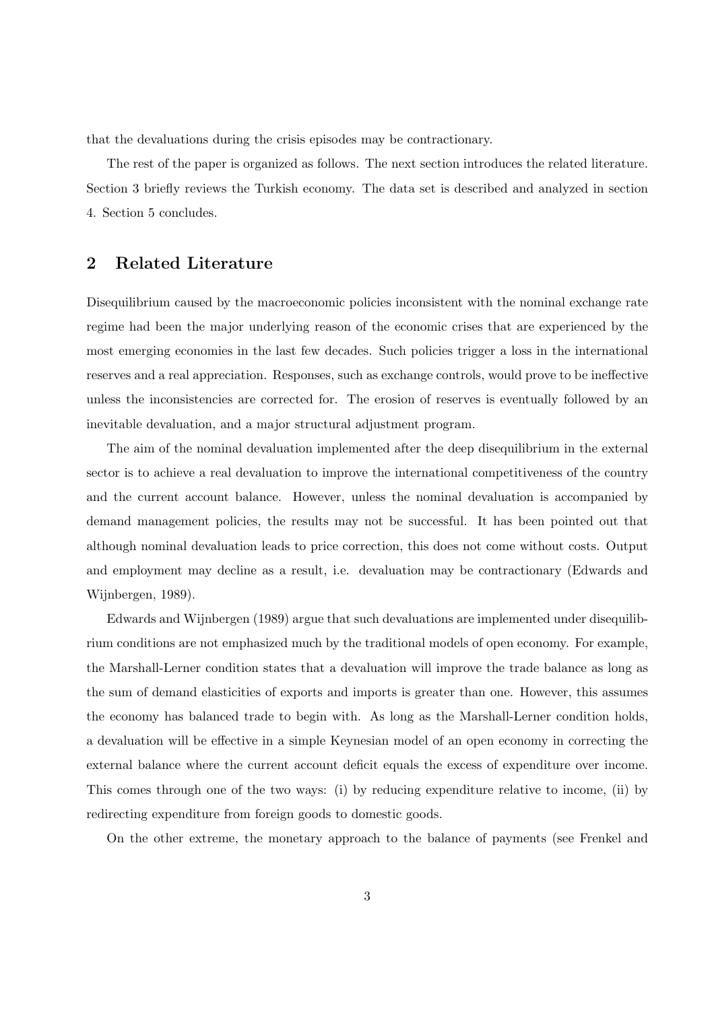that the devaluations during the crisis episodes may be contractionary.

The rest of the paper is organized as follows. The next section introduces the related literature. Section 3 briefly reviews the Turkish economy. The data set is described and analyzed in section 4. Section 5 concludes.

## 2 Related Literature

Disequilibrium caused by the macroeconomic policies inconsistent with the nominal exchange rate regime had been the major underlying reason of the economic crises that are experienced by the most emerging economies in the last few decades. Such policies trigger a loss in the international reserves and a real appreciation. Responses, such as exchange controls, would prove to be ineffective unless the inconsistencies are corrected for. The erosion of reserves is eventually followed by an inevitable devaluation, and a major structural adjustment program.

The aim of the nominal devaluation implemented after the deep disequilibrium in the external sector is to achieve a real devaluation to improve the international competitiveness of the country and the current account balance. However, unless the nominal devaluation is accompanied by demand management policies, the results may not be successful. It has been pointed out that although nominal devaluation leads to price correction, this does not come without costs. Output and employment may decline as a result, i.e. devaluation may be contractionary (Edwards and Wijnbergen, 1989).

Edwards and Wijnbergen (1989) argue that such devaluations are implemented under disequilibrium conditions are not emphasized much by the traditional models of open economy. For example, the Marshall-Lerner condition states that a devaluation will improve the trade balance as long as the sum of demand elasticities of exports and imports is greater than one. However, this assumes the economy has balanced trade to begin with. As long as the Marshall-Lerner condition holds, a devaluation will be effective in a simple Keynesian model of an open economy in correcting the external balance where the current account deficit equals the excess of expenditure over income. This comes through one of the two ways: (i) by reducing expenditure relative to income, (ii) by redirecting expenditure from foreign goods to domestic goods.

On the other extreme, the monetary approach to the balance of payments (see Frenkel and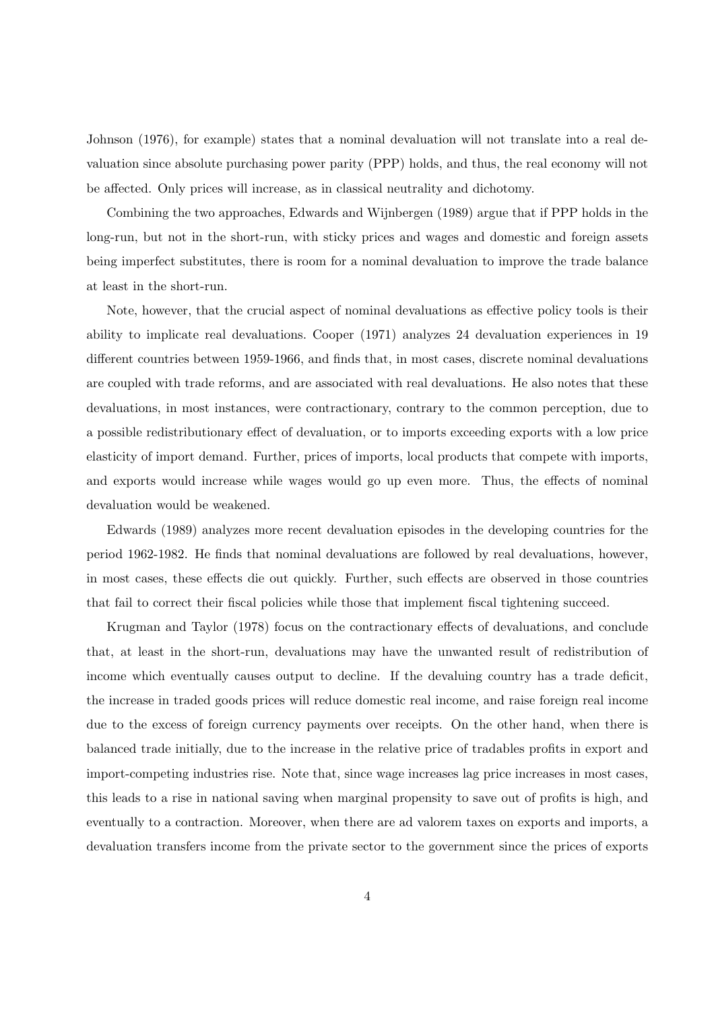Johnson (1976), for example) states that a nominal devaluation will not translate into a real devaluation since absolute purchasing power parity (PPP) holds, and thus, the real economy will not be affected. Only prices will increase, as in classical neutrality and dichotomy.

Combining the two approaches, Edwards and Wijnbergen (1989) argue that if PPP holds in the long-run, but not in the short-run, with sticky prices and wages and domestic and foreign assets being imperfect substitutes, there is room for a nominal devaluation to improve the trade balance at least in the short-run.

Note, however, that the crucial aspect of nominal devaluations as effective policy tools is their ability to implicate real devaluations. Cooper (1971) analyzes 24 devaluation experiences in 19 different countries between 1959-1966, and finds that, in most cases, discrete nominal devaluations are coupled with trade reforms, and are associated with real devaluations. He also notes that these devaluations, in most instances, were contractionary, contrary to the common perception, due to a possible redistributionary effect of devaluation, or to imports exceeding exports with a low price elasticity of import demand. Further, prices of imports, local products that compete with imports, and exports would increase while wages would go up even more. Thus, the effects of nominal devaluation would be weakened.

Edwards (1989) analyzes more recent devaluation episodes in the developing countries for the period 1962-1982. He finds that nominal devaluations are followed by real devaluations, however, in most cases, these effects die out quickly. Further, such effects are observed in those countries that fail to correct their fiscal policies while those that implement fiscal tightening succeed.

Krugman and Taylor (1978) focus on the contractionary effects of devaluations, and conclude that, at least in the short-run, devaluations may have the unwanted result of redistribution of income which eventually causes output to decline. If the devaluing country has a trade deficit, the increase in traded goods prices will reduce domestic real income, and raise foreign real income due to the excess of foreign currency payments over receipts. On the other hand, when there is balanced trade initially, due to the increase in the relative price of tradables profits in export and import-competing industries rise. Note that, since wage increases lag price increases in most cases, this leads to a rise in national saving when marginal propensity to save out of profits is high, and eventually to a contraction. Moreover, when there are ad valorem taxes on exports and imports, a devaluation transfers income from the private sector to the government since the prices of exports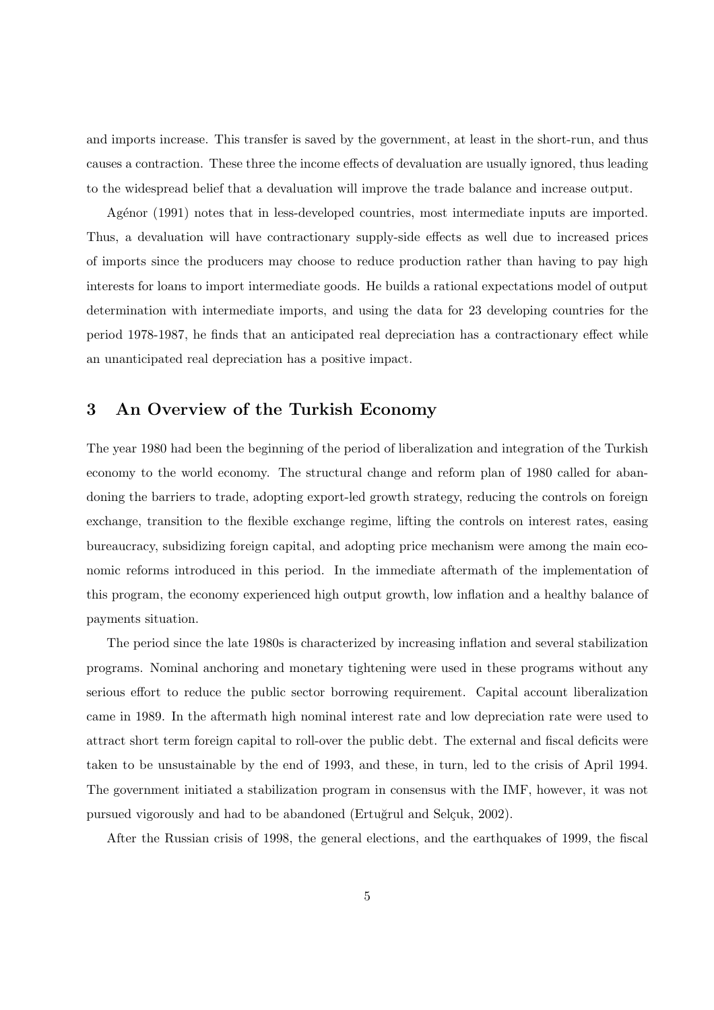and imports increase. This transfer is saved by the government, at least in the short-run, and thus causes a contraction. These three the income effects of devaluation are usually ignored, thus leading to the widespread belief that a devaluation will improve the trade balance and increase output.

Agénor (1991) notes that in less-developed countries, most intermediate inputs are imported. Thus, a devaluation will have contractionary supply-side effects as well due to increased prices of imports since the producers may choose to reduce production rather than having to pay high interests for loans to import intermediate goods. He builds a rational expectations model of output determination with intermediate imports, and using the data for 23 developing countries for the period 1978-1987, he finds that an anticipated real depreciation has a contractionary effect while an unanticipated real depreciation has a positive impact.

#### 3 An Overview of the Turkish Economy

The year 1980 had been the beginning of the period of liberalization and integration of the Turkish economy to the world economy. The structural change and reform plan of 1980 called for abandoning the barriers to trade, adopting export-led growth strategy, reducing the controls on foreign exchange, transition to the flexible exchange regime, lifting the controls on interest rates, easing bureaucracy, subsidizing foreign capital, and adopting price mechanism were among the main economic reforms introduced in this period. In the immediate aftermath of the implementation of this program, the economy experienced high output growth, low inflation and a healthy balance of payments situation.

The period since the late 1980s is characterized by increasing inflation and several stabilization programs. Nominal anchoring and monetary tightening were used in these programs without any serious effort to reduce the public sector borrowing requirement. Capital account liberalization came in 1989. In the aftermath high nominal interest rate and low depreciation rate were used to attract short term foreign capital to roll-over the public debt. The external and fiscal deficits were taken to be unsustainable by the end of 1993, and these, in turn, led to the crisis of April 1994. The government initiated a stabilization program in consensus with the IMF, however, it was not pursued vigorously and had to be abandoned (Ertuğrul and Selçuk, 2002).

After the Russian crisis of 1998, the general elections, and the earthquakes of 1999, the fiscal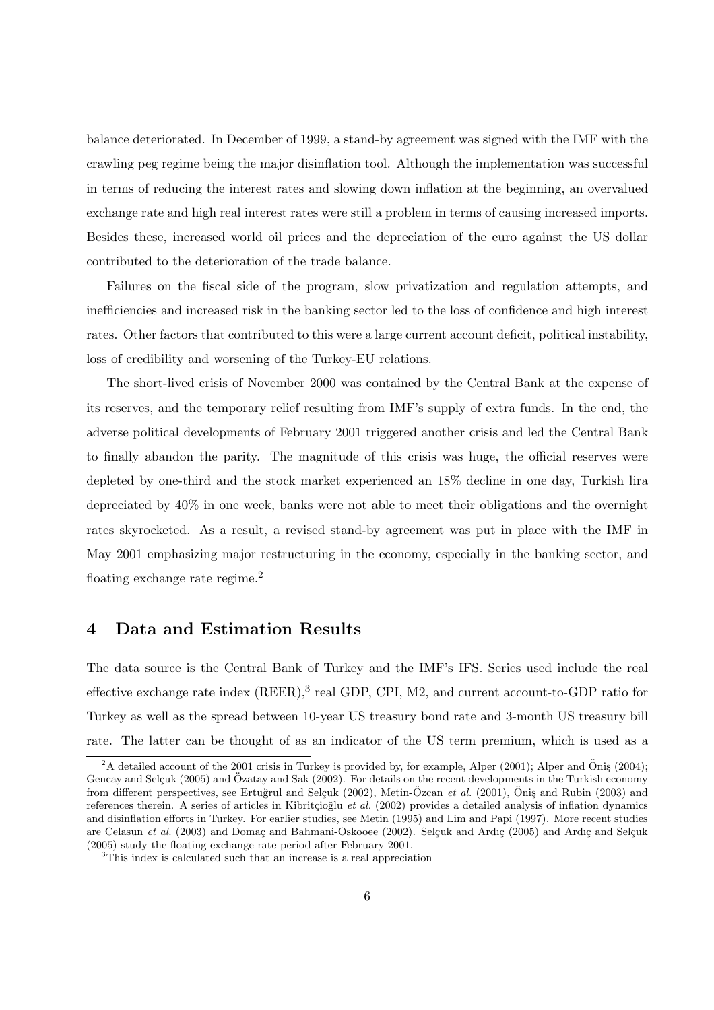balance deteriorated. In December of 1999, a stand-by agreement was signed with the IMF with the crawling peg regime being the major disinflation tool. Although the implementation was successful in terms of reducing the interest rates and slowing down inflation at the beginning, an overvalued exchange rate and high real interest rates were still a problem in terms of causing increased imports. Besides these, increased world oil prices and the depreciation of the euro against the US dollar contributed to the deterioration of the trade balance.

Failures on the fiscal side of the program, slow privatization and regulation attempts, and inefficiencies and increased risk in the banking sector led to the loss of confidence and high interest rates. Other factors that contributed to this were a large current account deficit, political instability, loss of credibility and worsening of the Turkey-EU relations.

The short-lived crisis of November 2000 was contained by the Central Bank at the expense of its reserves, and the temporary relief resulting from IMF's supply of extra funds. In the end, the adverse political developments of February 2001 triggered another crisis and led the Central Bank to finally abandon the parity. The magnitude of this crisis was huge, the official reserves were depleted by one-third and the stock market experienced an 18% decline in one day, Turkish lira depreciated by 40% in one week, banks were not able to meet their obligations and the overnight rates skyrocketed. As a result, a revised stand-by agreement was put in place with the IMF in May 2001 emphasizing major restructuring in the economy, especially in the banking sector, and floating exchange rate regime.<sup>2</sup>

## 4 Data and Estimation Results

The data source is the Central Bank of Turkey and the IMF's IFS. Series used include the real effective exchange rate index  $(REER)$ ,  $^3$  real GDP, CPI, M2, and current account-to-GDP ratio for Turkey as well as the spread between 10-year US treasury bond rate and 3-month US treasury bill rate. The latter can be thought of as an indicator of the US term premium, which is used as a

 $2A$  detailed account of the 2001 crisis in Turkey is provided by, for example, Alper (2001); Alper and Öniş (2004); Gencay and Selçuk (2005) and Özatay and Sak (2002). For details on the recent developments in the Turkish economy from different perspectives, see Ertuğrul and Selçuk (2002), Metin-Özcan et al. (2001), Öniş and Rubin (2003) and references therein. A series of articles in Kibritçioğlu et al. (2002) provides a detailed analysis of inflation dynamics and disinflation efforts in Turkey. For earlier studies, see Metin (1995) and Lim and Papi (1997). More recent studies are Celasun et al. (2003) and Domaç and Bahmani-Oskooee (2002). Selçuk and Ardıç (2005) and Ardıç and Selçuk (2005) study the floating exchange rate period after February 2001.

<sup>3</sup>This index is calculated such that an increase is a real appreciation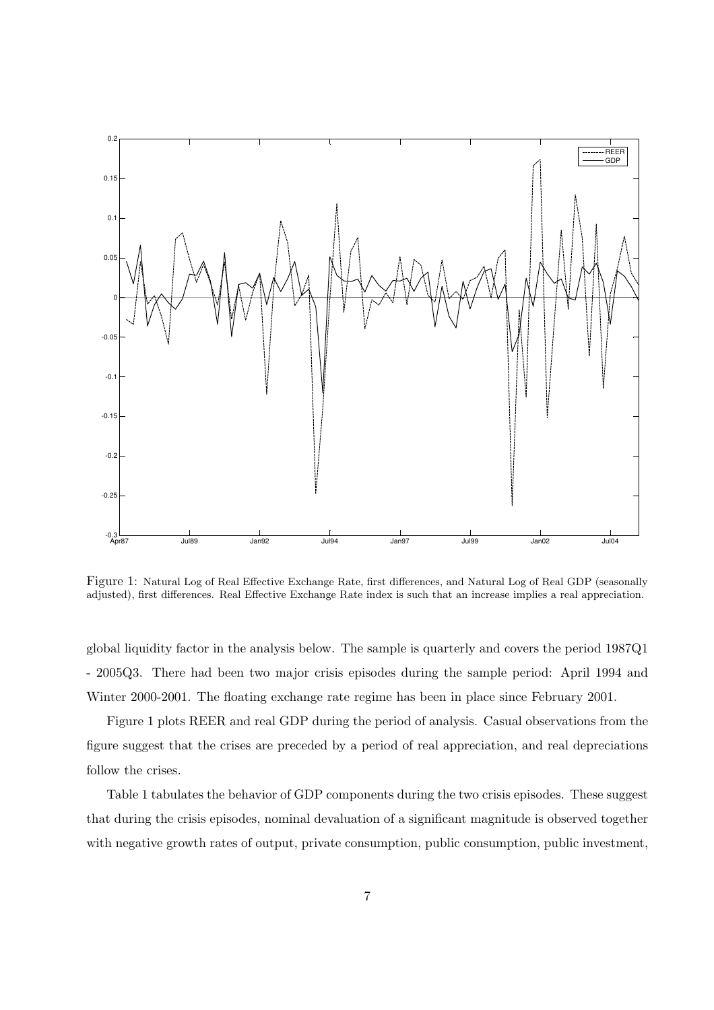

Figure 1: Natural Log of Real Effective Exchange Rate, first differences, and Natural Log of Real GDP (seasonally adjusted), first differences. Real Effective Exchange Rate index is such that an increase implies a real appreciation.

global liquidity factor in the analysis below. The sample is quarterly and covers the period 1987Q1 - 2005Q3. There had been two major crisis episodes during the sample period: April 1994 and Winter 2000-2001. The floating exchange rate regime has been in place since February 2001.

Figure 1 plots REER and real GDP during the period of analysis. Casual observations from the figure suggest that the crises are preceded by a period of real appreciation, and real depreciations follow the crises.

Table 1 tabulates the behavior of GDP components during the two crisis episodes. These suggest that during the crisis episodes, nominal devaluation of a significant magnitude is observed together with negative growth rates of output, private consumption, public consumption, public investment,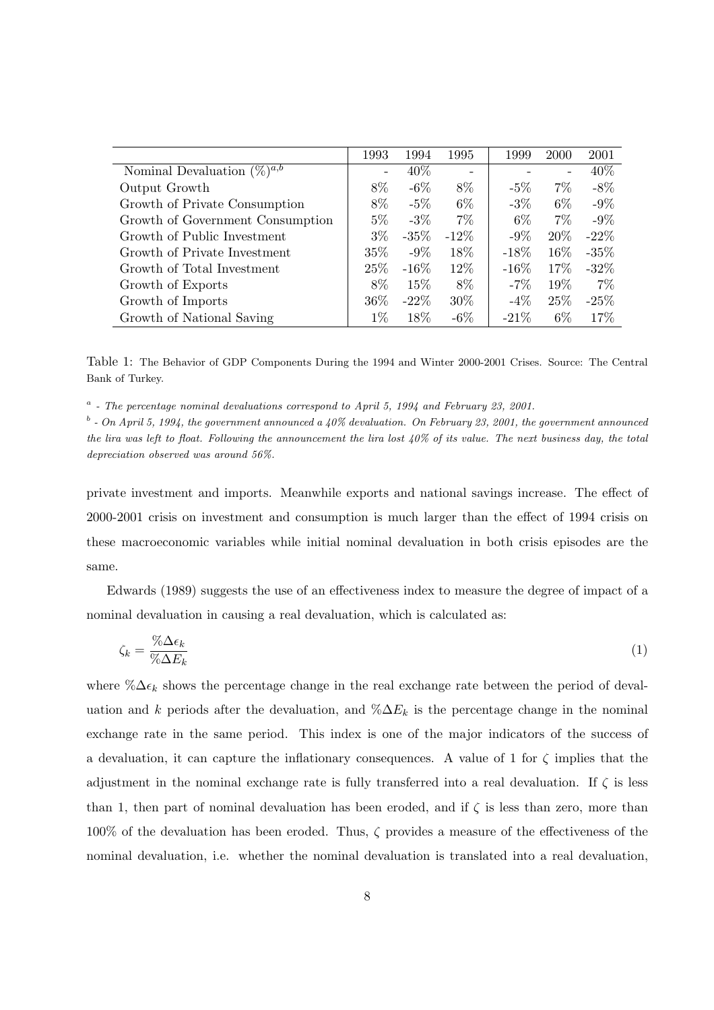|                                                                      | 1993              | 1994    | 1995    | 1999    | 2000   | 2001    |
|----------------------------------------------------------------------|-------------------|---------|---------|---------|--------|---------|
| Nominal Devaluation $(\sqrt[\infty]{a}^{\overline{a},\overline{b}})$ | $\qquad \qquad -$ | 40\%    |         |         | -      | 40\%    |
| Output Growth                                                        | 8%                | $-6\%$  | 8\%     | $-5\%$  | $7\%$  | $-8\%$  |
| Growth of Private Consumption                                        | 8%                | $-5\%$  | 6\%     | $-3\%$  | $6\%$  | $-9\%$  |
| Growth of Government Consumption                                     | $5\%$             | $-3\%$  | $7\%$   | $6\%$   | $7\%$  | $-9\%$  |
| Growth of Public Investment                                          | $3\%$             | $-35\%$ | $-12\%$ | $-9\%$  | 20%    | $-22\%$ |
| Growth of Private Investment                                         | $35\%$            | $-9\%$  | 18%     | $-18\%$ | 16\%   | $-35%$  |
| Growth of Total Investment                                           | 25\%              | $-16\%$ | 12\%    | $-16\%$ | $17\%$ | $-32\%$ |
| Growth of Exports                                                    | 8%                | 15\%    | 8%      | $-7\%$  | 19%    | $7\%$   |
| Growth of Imports                                                    | 36\%              | $-22\%$ | $30\%$  | $-4\%$  | 25\%   | $-25%$  |
| Growth of National Saving                                            | $1\%$             | 18%     | $-6\%$  | $-21\%$ | $6\%$  | 17%     |

Table 1: The Behavior of GDP Components During the 1994 and Winter 2000-2001 Crises. Source: The Central Bank of Turkey.

 $a$  - The percentage nominal devaluations correspond to April 5, 1994 and February 23, 2001.

 $b$  - On April 5, 1994, the government announced a 40% devaluation. On February 23, 2001, the government announced the lira was left to float. Following the announcement the lira lost  $40\%$  of its value. The next business day, the total depreciation observed was around 56%.

private investment and imports. Meanwhile exports and national savings increase. The effect of 2000-2001 crisis on investment and consumption is much larger than the effect of 1994 crisis on these macroeconomic variables while initial nominal devaluation in both crisis episodes are the same.

Edwards (1989) suggests the use of an effectiveness index to measure the degree of impact of a nominal devaluation in causing a real devaluation, which is calculated as:

$$
\zeta_k = \frac{\% \Delta \epsilon_k}{\% \Delta E_k} \tag{1}
$$

where % $\Delta \epsilon_k$  shows the percentage change in the real exchange rate between the period of devaluation and k periods after the devaluation, and  $\% \Delta E_k$  is the percentage change in the nominal exchange rate in the same period. This index is one of the major indicators of the success of a devaluation, it can capture the inflationary consequences. A value of 1 for  $\zeta$  implies that the adjustment in the nominal exchange rate is fully transferred into a real devaluation. If  $\zeta$  is less than 1, then part of nominal devaluation has been eroded, and if  $\zeta$  is less than zero, more than 100% of the devaluation has been eroded. Thus, ζ provides a measure of the effectiveness of the nominal devaluation, i.e. whether the nominal devaluation is translated into a real devaluation,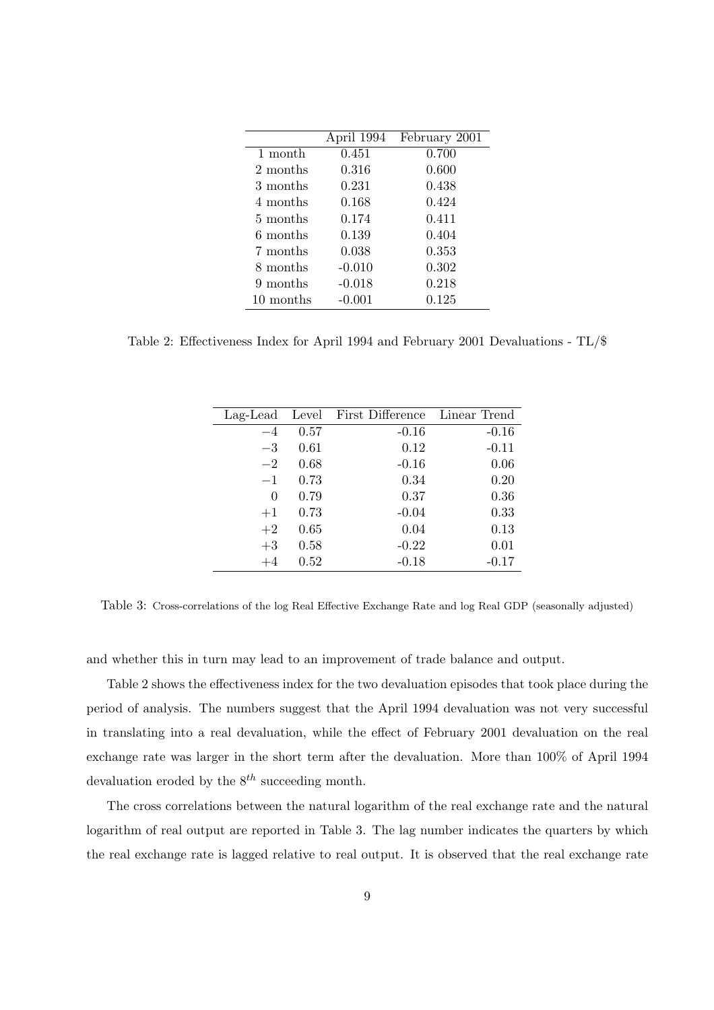|           | April 1994 | February 2001 |
|-----------|------------|---------------|
| 1 month   | 0.451      | 0.700         |
| 2 months  | 0.316      | 0.600         |
| 3 months  | 0.231      | 0.438         |
| 4 months  | 0.168      | 0.424         |
| 5 months  | 0.174      | 0.411         |
| 6 months  | 0.139      | 0.404         |
| 7 months  | 0.038      | 0.353         |
| 8 months  | $-0.010$   | 0.302         |
| 9 months  | $-0.018$   | 0.218         |
| 10 months | $-0.001$   | 0.125         |
|           |            |               |

Table 2: Effectiveness Index for April 1994 and February 2001 Devaluations - TL/\$

| Lag-Lead |      | Level First Difference | Linear Trend |
|----------|------|------------------------|--------------|
| $-4$     | 0.57 | $-0.16$                | $-0.16$      |
| $-3$     | 0.61 | 0.12                   | $-0.11$      |
| $-2$     | 0.68 | $-0.16$                | 0.06         |
| $-1$     | 0.73 | 0.34                   | 0.20         |
| $\theta$ | 0.79 | 0.37                   | 0.36         |
| $+1$     | 0.73 | $-0.04$                | 0.33         |
| $+2$     | 0.65 | 0.04                   | 0.13         |
| $+3$     | 0.58 | $-0.22$                | 0.01         |
| $+4$     | 0.52 | $-0.18$                | $-0.17$      |

Table 3: Cross-correlations of the log Real Effective Exchange Rate and log Real GDP (seasonally adjusted)

and whether this in turn may lead to an improvement of trade balance and output.

Table 2 shows the effectiveness index for the two devaluation episodes that took place during the period of analysis. The numbers suggest that the April 1994 devaluation was not very successful in translating into a real devaluation, while the effect of February 2001 devaluation on the real exchange rate was larger in the short term after the devaluation. More than 100% of April 1994 devaluation eroded by the  $8^{th}$  succeeding month.

The cross correlations between the natural logarithm of the real exchange rate and the natural logarithm of real output are reported in Table 3. The lag number indicates the quarters by which the real exchange rate is lagged relative to real output. It is observed that the real exchange rate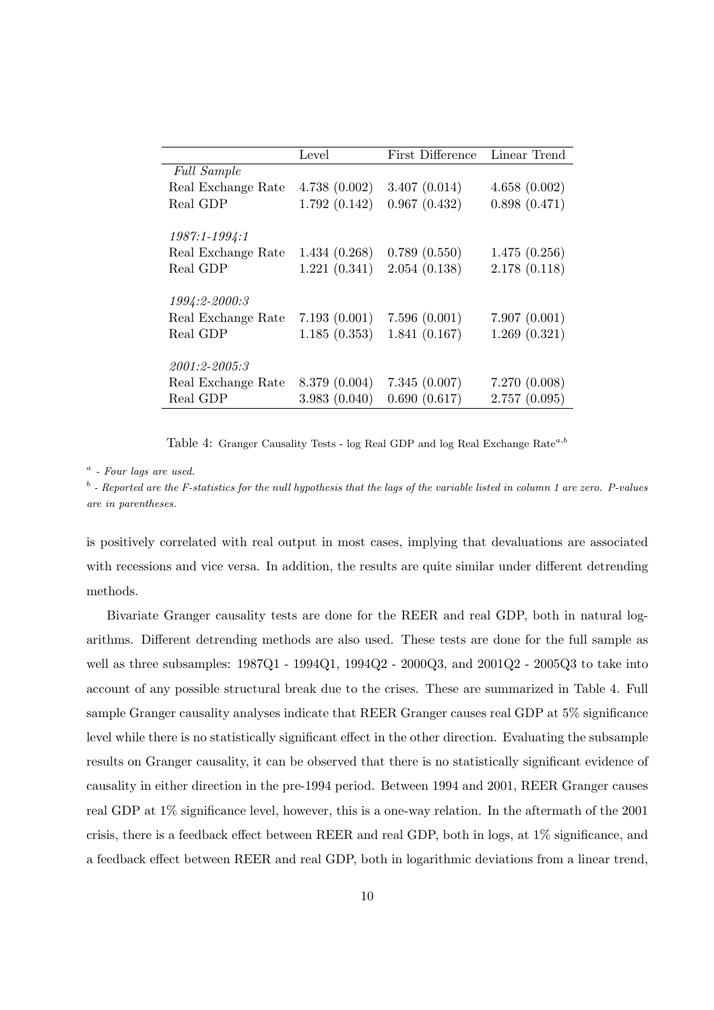|                    | Level         | First Difference | Linear Trend |
|--------------------|---------------|------------------|--------------|
| <b>Full Sample</b> |               |                  |              |
| Real Exchange Rate | 4.738(0.002)  | 3.407(0.014)     | 4.658(0.002) |
| Real GDP           | 1.792(0.142)  | 0.967(0.432)     | 0.898(0.471) |
|                    |               |                  |              |
| 1987:1-1994:1      |               |                  |              |
| Real Exchange Rate | 1.434(0.268)  | 0.789(0.550)     | 1.475(0.256) |
| Real GDP           | 1.221(0.341)  | 2.054(0.138)     | 2.178(0.118) |
|                    |               |                  |              |
| 1994:2-2000:3      |               |                  |              |
| Real Exchange Rate | 7.193(0.001)  | 7.596(0.001)     | 7.907(0.001) |
| Real GDP           | 1.185(0.353)  | 1.841(0.167)     | 1.269(0.321) |
|                    |               |                  |              |
| 2001:2-2005:3      |               |                  |              |
| Real Exchange Rate | 8.379 (0.004) | 7.345(0.007)     | 7.270(0.008) |
| Real GDP           | 3.983(0.040)  | 0.690(0.617)     | 2.757(0.095) |

Table 4: Granger Causality Tests - log Real GDP and log Real Exchange Rate<sup>a,b</sup>

#### $a$  - Four lags are used.

 $b$ -Reported are the F-statistics for the null hypothesis that the lags of the variable listed in column 1 are zero. P-values are in parentheses.

is positively correlated with real output in most cases, implying that devaluations are associated with recessions and vice versa. In addition, the results are quite similar under different detrending methods.

Bivariate Granger causality tests are done for the REER and real GDP, both in natural logarithms. Different detrending methods are also used. These tests are done for the full sample as well as three subsamples: 1987Q1 - 1994Q1, 1994Q2 - 2000Q3, and 2001Q2 - 2005Q3 to take into account of any possible structural break due to the crises. These are summarized in Table 4. Full sample Granger causality analyses indicate that REER Granger causes real GDP at 5% significance level while there is no statistically significant effect in the other direction. Evaluating the subsample results on Granger causality, it can be observed that there is no statistically significant evidence of causality in either direction in the pre-1994 period. Between 1994 and 2001, REER Granger causes real GDP at 1% significance level, however, this is a one-way relation. In the aftermath of the 2001 crisis, there is a feedback effect between REER and real GDP, both in logs, at 1% significance, and a feedback effect between REER and real GDP, both in logarithmic deviations from a linear trend,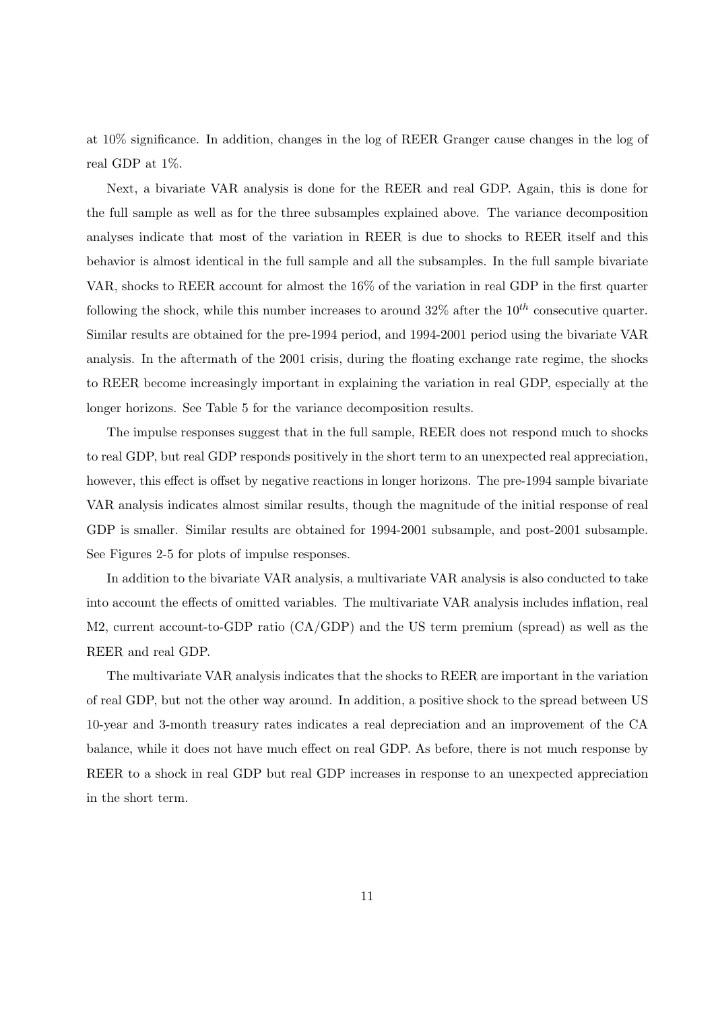at 10% significance. In addition, changes in the log of REER Granger cause changes in the log of real GDP at 1%.

Next, a bivariate VAR analysis is done for the REER and real GDP. Again, this is done for the full sample as well as for the three subsamples explained above. The variance decomposition analyses indicate that most of the variation in REER is due to shocks to REER itself and this behavior is almost identical in the full sample and all the subsamples. In the full sample bivariate VAR, shocks to REER account for almost the 16% of the variation in real GDP in the first quarter following the shock, while this number increases to around  $32\%$  after the  $10^{th}$  consecutive quarter. Similar results are obtained for the pre-1994 period, and 1994-2001 period using the bivariate VAR analysis. In the aftermath of the 2001 crisis, during the floating exchange rate regime, the shocks to REER become increasingly important in explaining the variation in real GDP, especially at the longer horizons. See Table 5 for the variance decomposition results.

The impulse responses suggest that in the full sample, REER does not respond much to shocks to real GDP, but real GDP responds positively in the short term to an unexpected real appreciation, however, this effect is offset by negative reactions in longer horizons. The pre-1994 sample bivariate VAR analysis indicates almost similar results, though the magnitude of the initial response of real GDP is smaller. Similar results are obtained for 1994-2001 subsample, and post-2001 subsample. See Figures 2-5 for plots of impulse responses.

In addition to the bivariate VAR analysis, a multivariate VAR analysis is also conducted to take into account the effects of omitted variables. The multivariate VAR analysis includes inflation, real M2, current account-to-GDP ratio (CA/GDP) and the US term premium (spread) as well as the REER and real GDP.

The multivariate VAR analysis indicates that the shocks to REER are important in the variation of real GDP, but not the other way around. In addition, a positive shock to the spread between US 10-year and 3-month treasury rates indicates a real depreciation and an improvement of the CA balance, while it does not have much effect on real GDP. As before, there is not much response by REER to a shock in real GDP but real GDP increases in response to an unexpected appreciation in the short term.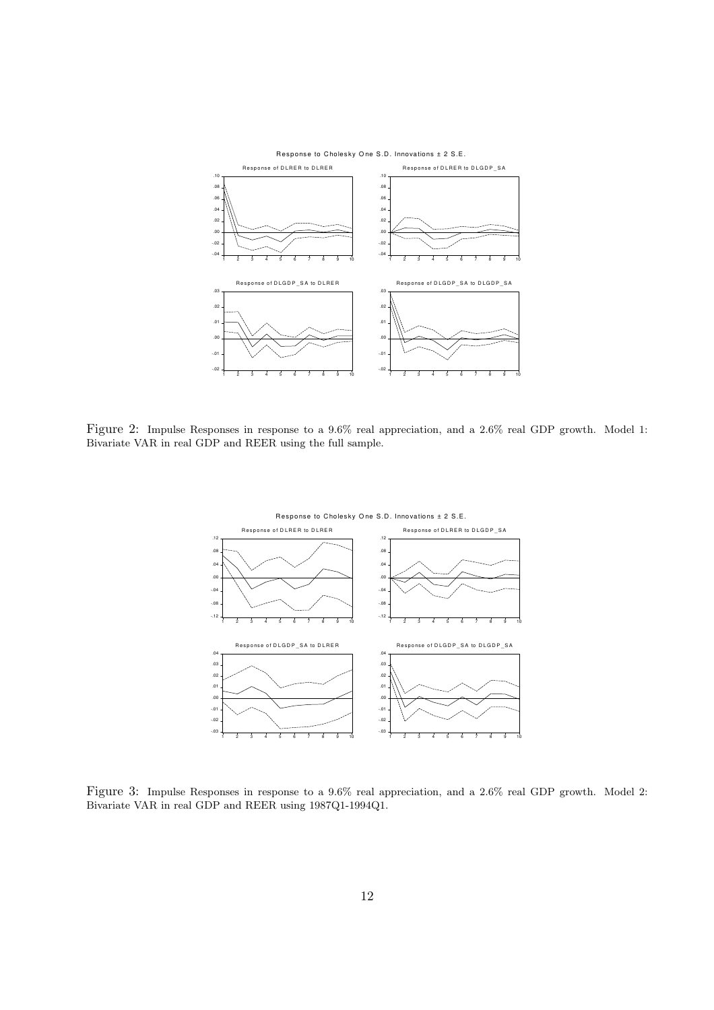

Figure 2: Impulse Responses in response to a 9.6% real appreciation, and a 2.6% real GDP growth. Model 1: Bivariate VAR in real GDP and REER using the full sample.



Figure 3: Impulse Responses in response to a 9.6% real appreciation, and a 2.6% real GDP growth. Model 2: Bivariate VAR in real GDP and REER using 1987Q1-1994Q1.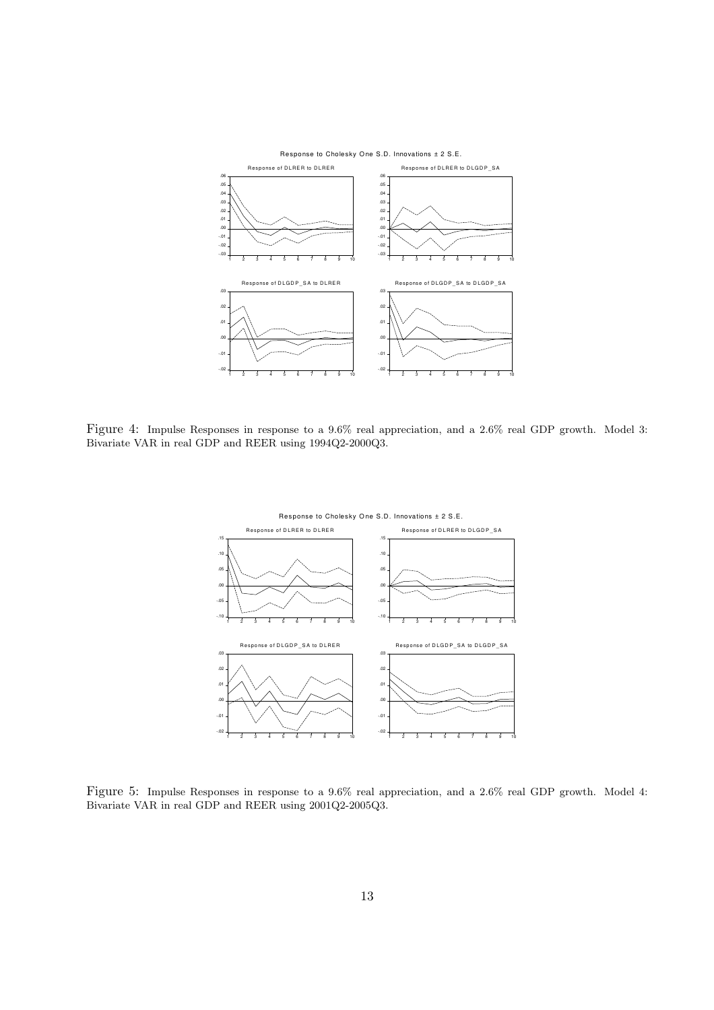

Figure 4: Impulse Responses in response to a 9.6% real appreciation, and a 2.6% real GDP growth. Model 3: Bivariate VAR in real GDP and REER using 1994Q2-2000Q3.



Figure 5: Impulse Responses in response to a 9.6% real appreciation, and a 2.6% real GDP growth. Model 4: Bivariate VAR in real GDP and REER using 2001Q2-2005Q3.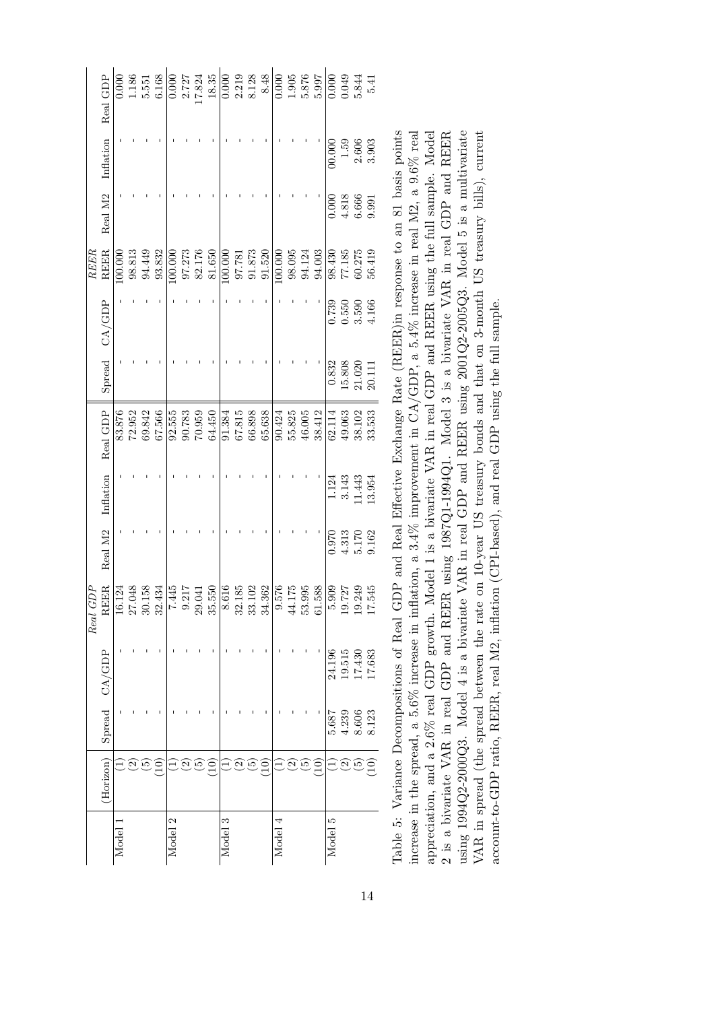|      | Real GDP                                              |         |                         |                      | $\begin{array}{c} 0.000 \\ 1.186 \\ 5.551 \\ 6.168 \end{array}$ |         |        |                                                           |                                                                                                                                                                                                                                                            |         |                      |    |                                                           |         |                                                           |                   |                                                                  |                      |                                                                     |                 |
|------|-------------------------------------------------------|---------|-------------------------|----------------------|-----------------------------------------------------------------|---------|--------|-----------------------------------------------------------|------------------------------------------------------------------------------------------------------------------------------------------------------------------------------------------------------------------------------------------------------------|---------|----------------------|----|-----------------------------------------------------------|---------|-----------------------------------------------------------|-------------------|------------------------------------------------------------------|----------------------|---------------------------------------------------------------------|-----------------|
|      | Inflation                                             |         |                         |                      |                                                                 |         |        |                                                           |                                                                                                                                                                                                                                                            |         |                      |    |                                                           |         |                                                           |                   |                                                                  |                      | $\begin{array}{c} 00.000 \\ 1.59 \\ 2.606 \\ 3.903 \end{array}$     |                 |
|      | Real M <sub>2</sub>                                   |         |                         |                      |                                                                 |         |        |                                                           |                                                                                                                                                                                                                                                            |         |                      |    |                                                           |         |                                                           |                   |                                                                  |                      | $0.000$<br>$4.818$<br>$6.666$<br>$9.991$                            |                 |
| REER | <b>REER</b>                                           | 00.000  |                         | $98.813$<br>$94.449$ | 93.832                                                          | 100.000 |        | $\begin{array}{c} 97.273 \\ 82.176 \\ 81.650 \end{array}$ |                                                                                                                                                                                                                                                            | 100.000 |                      |    | $\begin{array}{c} 97.781 \\ 91.873 \\ 91.520 \end{array}$ | 100.000 | $\begin{array}{c} 98.095 \\ 94.124 \\ 94.003 \end{array}$ |                   |                                                                  |                      | $\begin{array}{c} 98.430 \\ 77.185 \\ 60.275 \\ 56.419 \end{array}$ |                 |
|      | CA/GDP                                                |         |                         |                      |                                                                 |         |        |                                                           |                                                                                                                                                                                                                                                            |         |                      |    |                                                           |         |                                                           |                   |                                                                  |                      | $0.739$<br>$0.550$<br>$3.590$<br>$4.166$                            |                 |
|      | Spread                                                |         |                         |                      |                                                                 |         |        |                                                           |                                                                                                                                                                                                                                                            |         |                      |    |                                                           |         |                                                           |                   |                                                                  |                      | $\begin{array}{c} 0.832 \\ 15.808 \\ 21.020 \\ 20.111 \end{array}$  |                 |
|      | Real GDP                                              | 83.876  | 72.952                  | 69.842               | 67.566                                                          | 92.555  | 90.783 | 70.959                                                    | 64.450                                                                                                                                                                                                                                                     | 91.384  | $67.815$<br>$66.898$ |    | 65.638                                                    | 90.424  | $55.825$<br>$46.005$                                      | 38.412            |                                                                  | $62.114$<br>49.063   | 38.102                                                              | 33.533          |
|      | Inflation                                             |         |                         |                      |                                                                 |         |        |                                                           |                                                                                                                                                                                                                                                            |         |                      |    |                                                           |         |                                                           |                   |                                                                  |                      | $\begin{array}{c} 1.124 \\ 3.143 \\ 11.443 \\ 13.954 \end{array}$   |                 |
|      | Real M <sub>2</sub>                                   |         |                         |                      |                                                                 |         |        |                                                           |                                                                                                                                                                                                                                                            |         |                      |    |                                                           |         |                                                           |                   |                                                                  |                      | $\begin{array}{c} 0.970 \\ 4.313 \\ 5.170 \\ 9.162 \end{array}$     |                 |
|      | $\begin{array}{c} Real\ GDP \\ \rm{REER} \end{array}$ |         | $\frac{16.124}{27.048}$ |                      | 32.434                                                          |         |        |                                                           | $\begin{array}{r} \hline 7.445 \\ \hline 9.217 \\ \hline 9.2555 \\ \hline 9.555 \\ \hline 9.855 \\ \hline 8.616 \\ \hline 8.31.02 \\ \hline 3.31.02 \\ \hline 3.576 \\ \hline 4.175 \\ \hline 9.995 \\ \hline 9.576 \\ \hline 1.588 \\ \hline \end{array}$ |         |                      |    |                                                           |         |                                                           |                   | $\frac{1}{9}$ $\frac{5}{12}$ $\frac{1}{24}$ $\frac{45}{12}$<br>Ю | $\overline{0}$       | $\overline{19}$                                                     | $\overline{17}$ |
|      |                                                       |         |                         |                      |                                                                 |         |        |                                                           |                                                                                                                                                                                                                                                            |         |                      |    |                                                           |         |                                                           |                   |                                                                  |                      | $\begin{array}{c} 24.196 \\ 19.515 \\ 17.430 \\ 17.683 \end{array}$ |                 |
|      | Spread CA/GDP                                         |         |                         |                      |                                                                 |         |        |                                                           |                                                                                                                                                                                                                                                            |         |                      |    |                                                           |         |                                                           |                   |                                                                  |                      | $\begin{array}{c} 5.687 \\ 4.239 \\ 8.606 \\ 8.123 \end{array}$     |                 |
|      | (Horizon)                                             |         |                         |                      |                                                                 |         |        |                                                           | $\Xi$                                                                                                                                                                                                                                                      |         |                      | مر | $\Xi$                                                     |         | IJ                                                        | $\widetilde{\Xi}$ |                                                                  | $\widetilde{\omega}$ | $\widehat{\mathfrak{S}}$                                            | $\Xi$           |
|      |                                                       | Model 1 |                         |                      |                                                                 | Model 2 |        |                                                           |                                                                                                                                                                                                                                                            | Model 3 |                      |    |                                                           | Model 4 |                                                           |                   | Model 5                                                          |                      |                                                                     |                 |

Table 5: Variance Decompositions of Real GDP and Real Effective Exchange Rate (REER) in response to an 81 basis points appreciation, and a 2.6% real GDP growth. Model 1 is a bivariate VAR in real GDP and REER using the full sample. Model 2 is a bivariate VAR in real GDP and REER and REER using 1994Q2-2000Q3. Model 4 is a bivariate VAR in real GDP and REER using 2001Q2-2005Q3. Model 5 is a multivariate increase in the spread, a 5.6% increase in inflation, a 3.4% improvement in CA/GDP, a 5.4% increase in real M2, a 9.6% real 2 is a bivariate VAR in real GDP and REER using 1987Q1-1994Q1. Model 3 is a bivariate VAR in real GDP and REER VAR in spread (the spread between the rate on 10-year US treasury bonds and that on 3-month US treasury bills), current Table 5: Variance Decompositions of Real GDP and Real Effective Exchange Rate (REER)in response to an 81 basis points increase in the spread, a 5.6% increase in inflation, a 3.4% improvement in CA/GDP, a 5.4% increase in real M2, a 9.6% real appreciation, and a 2.6% real GDP growth. Model 1 is a bivariate VAR in real GDP and REER using the full sample. Model using 1994Q2-2000Q3. Model 4 is a bivariate VAR in real GDP and REER using 2001Q2-2005Q3. Model 5 is a multivariate VAR in spread (the spread between the rate on 10-year US treasury bonds and that on 3-month US treasury bills), current account-to-GDP ratio, REER, real M2, inflation (CPI-based), and real GDP using the full sample. account-to-GDP ratio, REER, real M2, inflation (CPI-based), and real GDP using the full sample.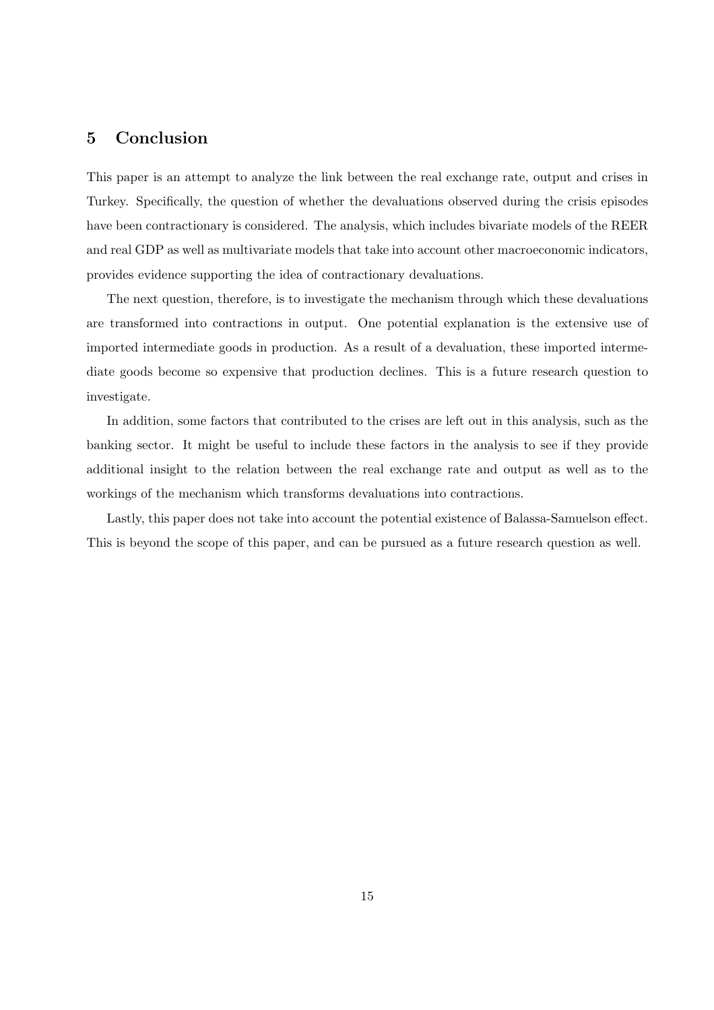# 5 Conclusion

This paper is an attempt to analyze the link between the real exchange rate, output and crises in Turkey. Specifically, the question of whether the devaluations observed during the crisis episodes have been contractionary is considered. The analysis, which includes bivariate models of the REER and real GDP as well as multivariate models that take into account other macroeconomic indicators, provides evidence supporting the idea of contractionary devaluations.

The next question, therefore, is to investigate the mechanism through which these devaluations are transformed into contractions in output. One potential explanation is the extensive use of imported intermediate goods in production. As a result of a devaluation, these imported intermediate goods become so expensive that production declines. This is a future research question to investigate.

In addition, some factors that contributed to the crises are left out in this analysis, such as the banking sector. It might be useful to include these factors in the analysis to see if they provide additional insight to the relation between the real exchange rate and output as well as to the workings of the mechanism which transforms devaluations into contractions.

Lastly, this paper does not take into account the potential existence of Balassa-Samuelson effect. This is beyond the scope of this paper, and can be pursued as a future research question as well.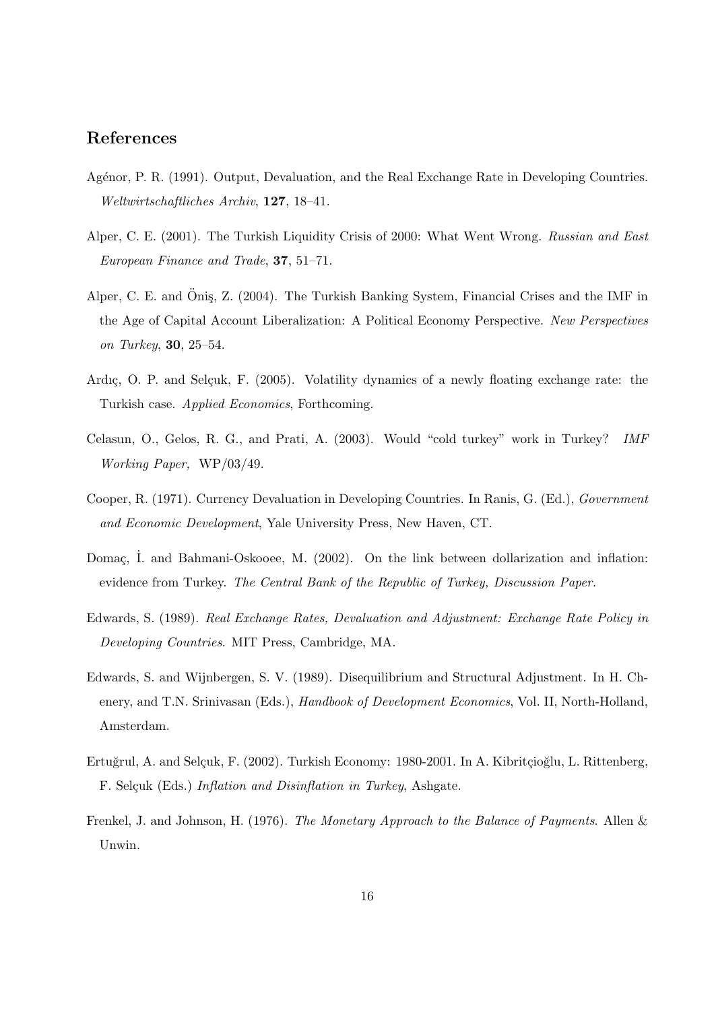# References

- Agénor, P. R. (1991). Output, Devaluation, and the Real Exchange Rate in Developing Countries. Weltwirtschaftliches Archiv, 127, 18–41.
- Alper, C. E. (2001). The Turkish Liquidity Crisis of 2000: What Went Wrong. Russian and East European Finance and Trade, 37, 51–71.
- Alper, C. E. and Öniş, Z. (2004). The Turkish Banking System, Financial Crises and the IMF in the Age of Capital Account Liberalization: A Political Economy Perspective. New Perspectives on Turkey, 30, 25–54.
- Ardıç, O. P. and Selçuk, F. (2005). Volatility dynamics of a newly floating exchange rate: the Turkish case. Applied Economics, Forthcoming.
- Celasun, O., Gelos, R. G., and Prati, A. (2003). Would "cold turkey" work in Turkey? IMF Working Paper, WP/03/49.
- Cooper, R. (1971). Currency Devaluation in Developing Countries. In Ranis, G. (Ed.), Government and Economic Development, Yale University Press, New Haven, CT.
- Domaç, İ. and Bahmani-Oskooee, M. (2002). On the link between dollarization and inflation: evidence from Turkey. The Central Bank of the Republic of Turkey, Discussion Paper.
- Edwards, S. (1989). Real Exchange Rates, Devaluation and Adjustment: Exchange Rate Policy in Developing Countries. MIT Press, Cambridge, MA.
- Edwards, S. and Wijnbergen, S. V. (1989). Disequilibrium and Structural Adjustment. In H. Chenery, and T.N. Srinivasan (Eds.), *Handbook of Development Economics*, Vol. II, North-Holland, Amsterdam.
- Ertuğrul, A. and Selçuk, F. (2002). Turkish Economy: 1980-2001. In A. Kibritçioğlu, L. Rittenberg, F. Selçuk (Eds.) Inflation and Disinflation in Turkey, Ashgate.
- Frenkel, J. and Johnson, H. (1976). The Monetary Approach to the Balance of Payments. Allen & Unwin.